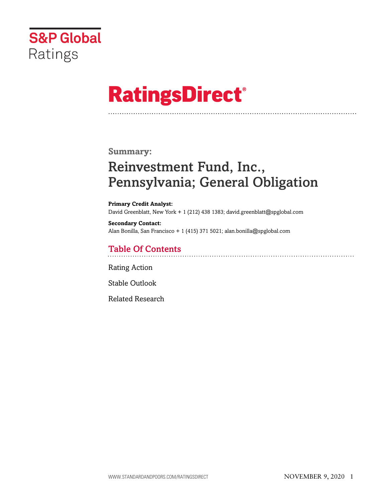

# **RatingsDirect®**

## **Summary:**

# Reinvestment Fund, Inc., Pennsylvania; General Obligation

**Primary Credit Analyst:** David Greenblatt, New York + 1 (212) 438 1383; david.greenblatt@spglobal.com

**Secondary Contact:** Alan Bonilla, San Francisco + 1 (415) 371 5021; alan.bonilla@spglobal.com

# Table Of Contents

[Rating Action](#page-1-0)

[Stable Outlook](#page-3-0)

[Related Research](#page-4-0)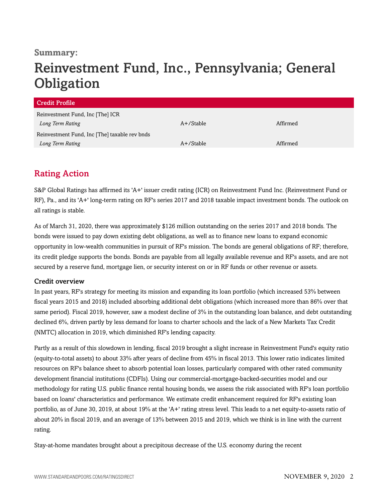### **Summary:**

# Reinvestment Fund, Inc., Pennsylvania; General **Obligation**

| Credit Profile                                |              |          |
|-----------------------------------------------|--------------|----------|
| Reinvestment Fund, Inc [The] ICR              |              |          |
| Long Term Rating                              | $A+$ /Stable | Affirmed |
| Reinvestment Fund, Inc [The] taxable rev bnds |              |          |
| Long Term Rating                              | A+/Stable    | Affirmed |

# <span id="page-1-0"></span>Rating Action

S&P Global Ratings has affirmed its 'A+' issuer credit rating (ICR) on Reinvestment Fund Inc. (Reinvestment Fund or RF), Pa., and its 'A+' long-term rating on RF's series 2017 and 2018 taxable impact investment bonds. The outlook on all ratings is stable.

As of March 31, 2020, there was approximately \$126 million outstanding on the series 2017 and 2018 bonds. The bonds were issued to pay down existing debt obligations, as well as to finance new loans to expand economic opportunity in low-wealth communities in pursuit of RF's mission. The bonds are general obligations of RF; therefore, its credit pledge supports the bonds. Bonds are payable from all legally available revenue and RF's assets, and are not secured by a reserve fund, mortgage lien, or security interest on or in RF funds or other revenue or assets.

#### Credit overview

In past years, RF's strategy for meeting its mission and expanding its loan portfolio (which increased 53% between fiscal years 2015 and 2018) included absorbing additional debt obligations (which increased more than 86% over that same period). Fiscal 2019, however, saw a modest decline of 3% in the outstanding loan balance, and debt outstanding declined 6%, driven partly by less demand for loans to charter schools and the lack of a New Markets Tax Credit (NMTC) allocation in 2019, which diminished RF's lending capacity.

Partly as a result of this slowdown in lending, fiscal 2019 brought a slight increase in Reinvestment Fund's equity ratio (equity-to-total assets) to about 33% after years of decline from 45% in fiscal 2013. This lower ratio indicates limited resources on RF's balance sheet to absorb potential loan losses, particularly compared with other rated community development financial institutions (CDFIs). Using our commercial-mortgage-backed-securities model and our methodology for rating U.S. public finance rental housing bonds, we assess the risk associated with RF's loan portfolio based on loans' characteristics and performance. We estimate credit enhancement required for RF's existing loan portfolio, as of June 30, 2019, at about 19% at the 'A+' rating stress level. This leads to a net equity-to-assets ratio of about 20% in fiscal 2019, and an average of 13% between 2015 and 2019, which we think is in line with the current rating.

Stay-at-home mandates brought about a precipitous decrease of the U.S. economy during the recent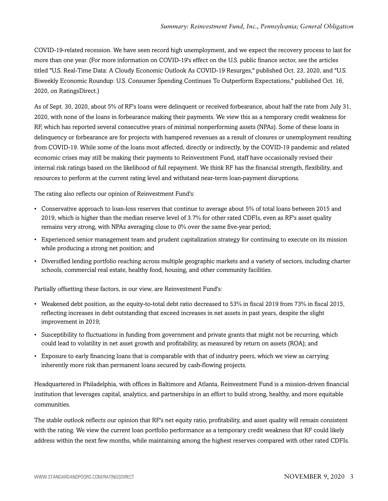COVID-19-related recession. We have seen record high unemployment, and we expect the recovery process to last for more than one year. (For more information on COVID-19's effect on the U.S. public finance sector, see the articles titled "U.S. Real-Time Data: A Cloudy Economic Outlook As COVID-19 Resurges," published Oct. 23, 2020, and "U.S. Biweekly Economic Roundup: U.S. Consumer Spending Continues To Outperform Expectations," published Oct. 16, 2020, on RatingsDirect.)

As of Sept. 30, 2020, about 5% of RF's loans were delinquent or received forbearance, about half the rate from July 31, 2020, with none of the loans in forbearance making their payments. We view this as a temporary credit weakness for RF, which has reported several consecutive years of minimal nonperforming assets (NPAs). Some of these loans in delinquency or forbearance are for projects with hampered revenues as a result of closures or unemployment resulting from COVID-19. While some of the loans most affected, directly or indirectly, by the COVID-19 pandemic and related economic crises may still be making their payments to Reinvestment Fund, staff have occasionally revised their internal risk ratings based on the likelihood of full repayment. We think RF has the financial strength, flexibility, and resources to perform at the current rating level and withstand near-term loan-payment disruptions.

The rating also reflects our opinion of Reinvestment Fund's:

- Conservative approach to loan-loss reserves that continue to average about 5% of total loans between 2015 and 2019, which is higher than the median reserve level of 3.7% for other rated CDFIs, even as RF's asset quality remains very strong, with NPAs averaging close to 0% over the same five-year period;
- Experienced senior management team and prudent capitalization strategy for continuing to execute on its mission while producing a strong net position; and
- Diversified lending portfolio reaching across multiple geographic markets and a variety of sectors, including charter schools, commercial real estate, healthy food, housing, and other community facilities.

Partially offsetting these factors, in our view, are Reinvestment Fund's:

- Weakened debt position, as the equity-to-total debt ratio decreased to 53% in fiscal 2019 from 73% in fiscal 2015, reflecting increases in debt outstanding that exceed increases in net assets in past years, despite the slight improvement in 2019;
- Susceptibility to fluctuations in funding from government and private grants that might not be recurring, which could lead to volatility in net asset growth and profitability, as measured by return on assets (ROA); and
- Exposure to early financing loans that is comparable with that of industry peers, which we view as carrying inherently more risk than permanent loans secured by cash-flowing projects.

Headquartered in Philadelphia, with offices in Baltimore and Atlanta, Reinvestment Fund is a mission-driven financial institution that leverages capital, analytics, and partnerships in an effort to build strong, healthy, and more equitable communities.

The stable outlook reflects our opinion that RF's net equity ratio, profitability, and asset quality will remain consistent with the rating. We view the current loan portfolio performance as a temporary credit weakness that RF could likely address within the next few months, while maintaining among the highest reserves compared with other rated CDFIs.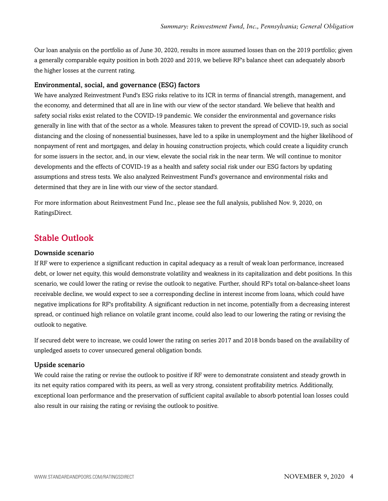Our loan analysis on the portfolio as of June 30, 2020, results in more assumed losses than on the 2019 portfolio; given a generally comparable equity position in both 2020 and 2019, we believe RF's balance sheet can adequately absorb the higher losses at the current rating.

#### Environmental, social, and governance (ESG) factors

We have analyzed Reinvestment Fund's ESG risks relative to its ICR in terms of financial strength, management, and the economy, and determined that all are in line with our view of the sector standard. We believe that health and safety social risks exist related to the COVID-19 pandemic. We consider the environmental and governance risks generally in line with that of the sector as a whole. Measures taken to prevent the spread of COVID-19, such as social distancing and the closing of nonessential businesses, have led to a spike in unemployment and the higher likelihood of nonpayment of rent and mortgages, and delay in housing construction projects, which could create a liquidity crunch for some issuers in the sector, and, in our view, elevate the social risk in the near term. We will continue to monitor developments and the effects of COVID-19 as a health and safety social risk under our ESG factors by updating assumptions and stress tests. We also analyzed Reinvestment Fund's governance and environmental risks and determined that they are in line with our view of the sector standard.

For more information about Reinvestment Fund Inc., please see the full analysis, published Nov. 9, 2020, on RatingsDirect.

### <span id="page-3-0"></span>Stable Outlook

#### Downside scenario

If RF were to experience a significant reduction in capital adequacy as a result of weak loan performance, increased debt, or lower net equity, this would demonstrate volatility and weakness in its capitalization and debt positions. In this scenario, we could lower the rating or revise the outlook to negative. Further, should RF's total on-balance-sheet loans receivable decline, we would expect to see a corresponding decline in interest income from loans, which could have negative implications for RF's profitability. A significant reduction in net income, potentially from a decreasing interest spread, or continued high reliance on volatile grant income, could also lead to our lowering the rating or revising the outlook to negative.

If secured debt were to increase, we could lower the rating on series 2017 and 2018 bonds based on the availability of unpledged assets to cover unsecured general obligation bonds.

#### Upside scenario

We could raise the rating or revise the outlook to positive if RF were to demonstrate consistent and steady growth in its net equity ratios compared with its peers, as well as very strong, consistent profitability metrics. Additionally, exceptional loan performance and the preservation of sufficient capital available to absorb potential loan losses could also result in our raising the rating or revising the outlook to positive.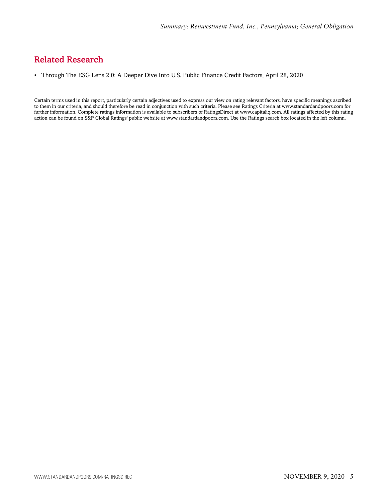# <span id="page-4-0"></span>Related Research

• Through The ESG Lens 2.0: A Deeper Dive Into U.S. Public Finance Credit Factors, April 28, 2020

Certain terms used in this report, particularly certain adjectives used to express our view on rating relevant factors, have specific meanings ascribed to them in our criteria, and should therefore be read in conjunction with such criteria. Please see Ratings Criteria at www.standardandpoors.com for further information. Complete ratings information is available to subscribers of RatingsDirect at www.capitaliq.com. All ratings affected by this rating action can be found on S&P Global Ratings' public website at www.standardandpoors.com. Use the Ratings search box located in the left column.